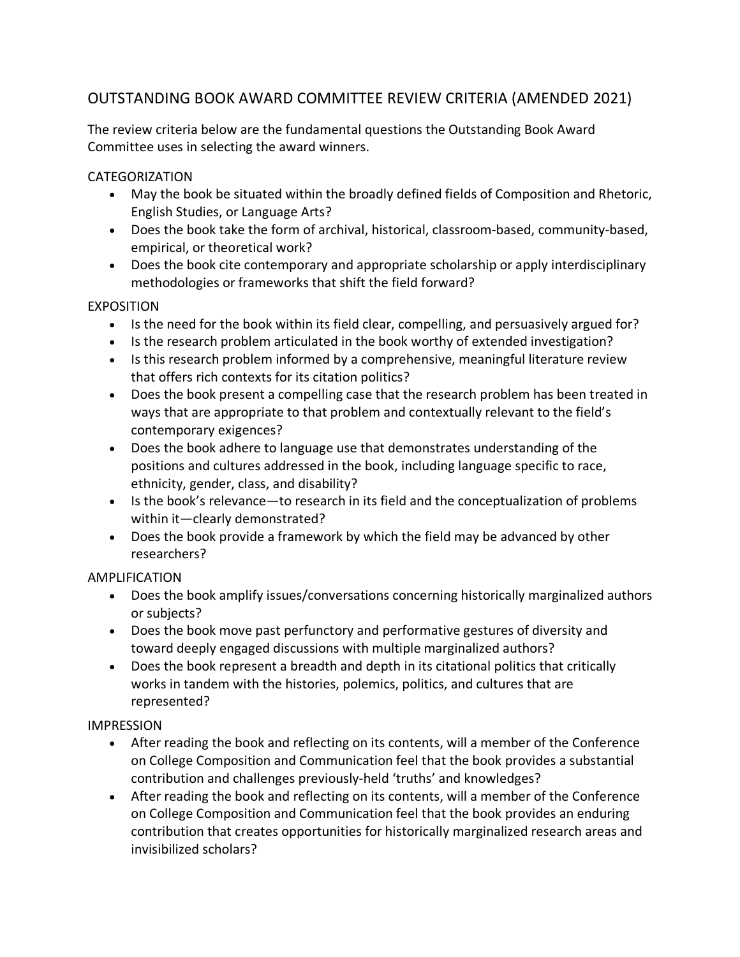# OUTSTANDING BOOK AWARD COMMITTEE REVIEW CRITERIA (AMENDED 2021)

The review criteria below are the fundamental questions the Outstanding Book Award Committee uses in selecting the award winners.

#### CATEGORIZATION

- May the book be situated within the broadly defined fields of Composition and Rhetoric, English Studies, or Language Arts?
- Does the book take the form of archival, historical, classroom-based, community-based, empirical, or theoretical work?
- Does the book cite contemporary and appropriate scholarship or apply interdisciplinary methodologies or frameworks that shift the field forward?

### EXPOSITION

- Is the need for the book within its field clear, compelling, and persuasively argued for?
- Is the research problem articulated in the book worthy of extended investigation?
- Is this research problem informed by a comprehensive, meaningful literature review that offers rich contexts for its citation politics?
- Does the book present a compelling case that the research problem has been treated in ways that are appropriate to that problem and contextually relevant to the field's contemporary exigences?
- Does the book adhere to language use that demonstrates understanding of the positions and cultures addressed in the book, including language specific to race, ethnicity, gender, class, and disability?
- Is the book's relevance—to research in its field and the conceptualization of problems within it—clearly demonstrated?
- Does the book provide a framework by which the field may be advanced by other researchers?

#### AMPLIFICATION

- Does the book amplify issues/conversations concerning historically marginalized authors or subjects?
- Does the book move past perfunctory and performative gestures of diversity and toward deeply engaged discussions with multiple marginalized authors?
- Does the book represent a breadth and depth in its citational politics that critically works in tandem with the histories, polemics, politics, and cultures that are represented?

## IMPRESSION

- After reading the book and reflecting on its contents, will a member of the Conference on College Composition and Communication feel that the book provides a substantial contribution and challenges previously-held 'truths' and knowledges?
- After reading the book and reflecting on its contents, will a member of the Conference on College Composition and Communication feel that the book provides an enduring contribution that creates opportunities for historically marginalized research areas and invisibilized scholars?